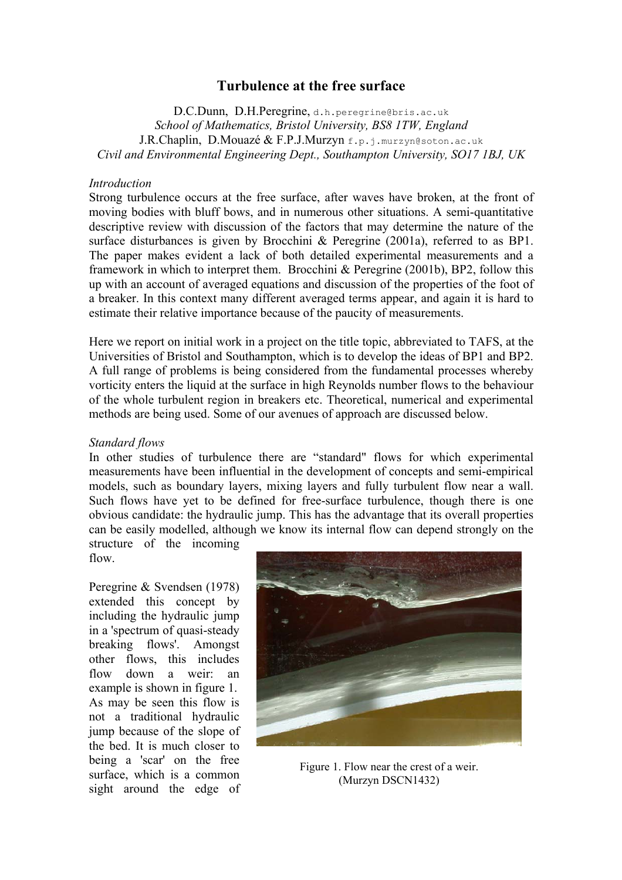# **Turbulence at the free surface**

D.C.Dunn, D.H.Peregrine, d.h.peregrine@bris.ac.uk *School of Mathematics, Bristol University, BS8 1TW, England*  J.R.Chaplin, D.Mouazé & F.P.J.Murzyn f.p.j.murzyn@soton.ac.uk *Civil and Environmental Engineering Dept., Southampton University, SO17 1BJ, UK* 

#### *Introduction*

Strong turbulence occurs at the free surface, after waves have broken, at the front of moving bodies with bluff bows, and in numerous other situations. A semi-quantitative descriptive review with discussion of the factors that may determine the nature of the surface disturbances is given by Brocchini & Peregrine (2001a), referred to as BP1. The paper makes evident a lack of both detailed experimental measurements and a framework in which to interpret them. Brocchini & Peregrine (2001b), BP2, follow this up with an account of averaged equations and discussion of the properties of the foot of a breaker. In this context many different averaged terms appear, and again it is hard to estimate their relative importance because of the paucity of measurements.

Here we report on initial work in a project on the title topic, abbreviated to TAFS, at the Universities of Bristol and Southampton, which is to develop the ideas of BP1 and BP2. A full range of problems is being considered from the fundamental processes whereby vorticity enters the liquid at the surface in high Reynolds number flows to the behaviour of the whole turbulent region in breakers etc. Theoretical, numerical and experimental methods are being used. Some of our avenues of approach are discussed below.

#### *Standard flows*

In other studies of turbulence there are "standard" flows for which experimental measurements have been influential in the development of concepts and semi-empirical models, such as boundary layers, mixing layers and fully turbulent flow near a wall. Such flows have yet to be defined for free-surface turbulence, though there is one obvious candidate: the hydraulic jump. This has the advantage that its overall properties can be easily modelled, although we know its internal flow can depend strongly on the structure of the incoming

flow.

Peregrine & Svendsen (1978) extended this concept by including the hydraulic jump in a 'spectrum of quasi-steady breaking flows'. Amongst other flows, this includes flow down a weir: an example is shown in figure 1. As may be seen this flow is not a traditional hydraulic jump because of the slope of the bed. It is much closer to being a 'scar' on the free surface, which is a common sight around the edge of



Figure 1. Flow near the crest of a weir. (Murzyn DSCN1432)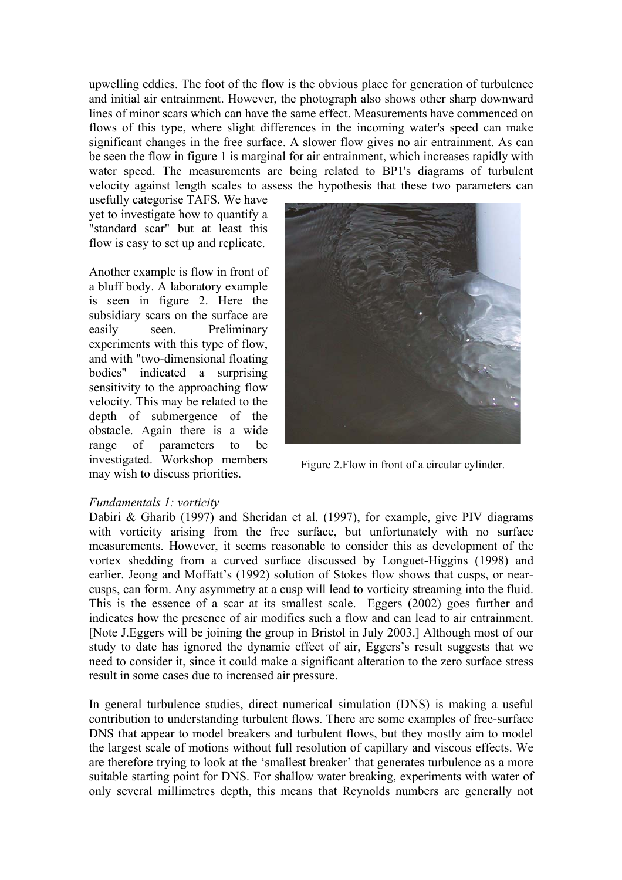upwelling eddies. The foot of the flow is the obvious place for generation of turbulence and initial air entrainment. However, the photograph also shows other sharp downward lines of minor scars which can have the same effect. Measurements have commenced on flows of this type, where slight differences in the incoming water's speed can make significant changes in the free surface. A slower flow gives no air entrainment. As can be seen the flow in figure 1 is marginal for air entrainment, which increases rapidly with water speed. The measurements are being related to BP1's diagrams of turbulent velocity against length scales to assess the hypothesis that these two parameters can

usefully categorise TAFS. We have yet to investigate how to quantify a "standard scar" but at least this flow is easy to set up and replicate.

Another example is flow in front of a bluff body. A laboratory example is seen in figure 2. Here the subsidiary scars on the surface are easily seen. Preliminary experiments with this type of flow, and with "two-dimensional floating bodies" indicated a surprising sensitivity to the approaching flow velocity. This may be related to the depth of submergence of the obstacle. Again there is a wide range of parameters to be investigated. Workshop members may wish to discuss priorities.<br>Figure 2.Flow in front of a circular cylinder.<br>may wish to discuss priorities.



### *Fundamentals 1: vorticity*

Dabiri & Gharib (1997) and Sheridan et al. (1997), for example, give PIV diagrams with vorticity arising from the free surface, but unfortunately with no surface measurements. However, it seems reasonable to consider this as development of the vortex shedding from a curved surface discussed by Longuet-Higgins (1998) and earlier. Jeong and Moffatt's (1992) solution of Stokes flow shows that cusps, or nearcusps, can form. Any asymmetry at a cusp will lead to vorticity streaming into the fluid. This is the essence of a scar at its smallest scale. Eggers (2002) goes further and indicates how the presence of air modifies such a flow and can lead to air entrainment. [Note J.Eggers will be joining the group in Bristol in July 2003.] Although most of our study to date has ignored the dynamic effect of air, Eggers's result suggests that we need to consider it, since it could make a significant alteration to the zero surface stress result in some cases due to increased air pressure.

In general turbulence studies, direct numerical simulation (DNS) is making a useful contribution to understanding turbulent flows. There are some examples of free-surface DNS that appear to model breakers and turbulent flows, but they mostly aim to model the largest scale of motions without full resolution of capillary and viscous effects. We are therefore trying to look at the 'smallest breaker' that generates turbulence as a more suitable starting point for DNS. For shallow water breaking, experiments with water of only several millimetres depth, this means that Reynolds numbers are generally not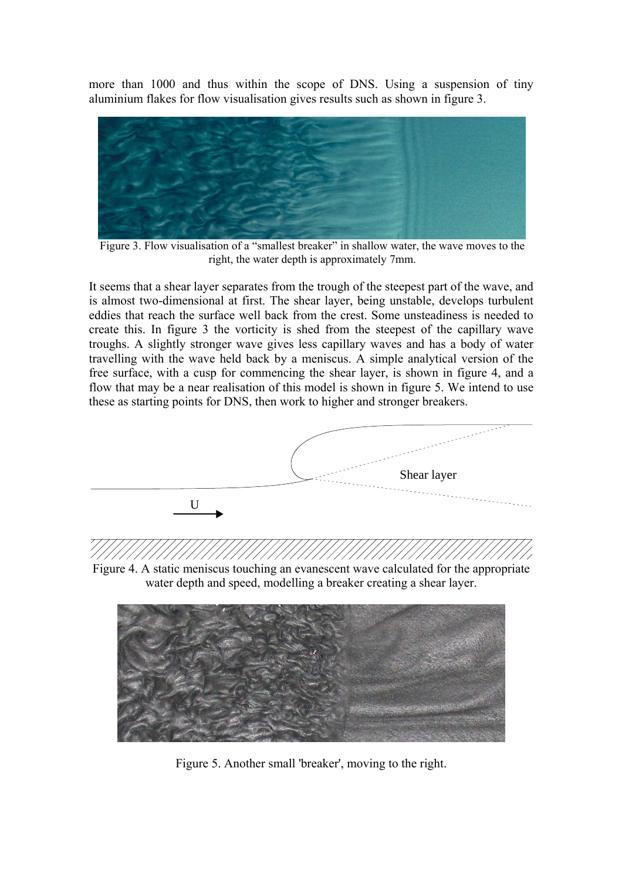more than 1000 and thus within the scope of DNS. Using a suspension of tiny aluminium flakes for flow visualisation gives results such as shown in figure 3.



Figure 3. Flow visualisation of a "smallest breaker" in shallow water, the wave moves to the right, the water depth is approximately 7mm.

It seems that a shear layer separates from the trough of the steepest part of the wave, and is almost two-dimensional at first. The shear layer, being unstable, develops turbulent eddies that reach the surface well back from the crest. Some unsteadiness is needed to create this. In figure 3 the vorticity is shed from the steepest of the capillary wave troughs. A slightly stronger wave gives less capillary waves and has a body of water travelling with the wave held back by a meniscus. A simple analytical version of the free surface, with a cusp for commencing the shear layer, is shown in figure 4, and a flow that may be a near realisation of this model is shown in figure 5. We intend to use these as starting points for DNS, then work to higher and stronger breakers.



Figure 4. A static meniscus touching an evanescent wave calculated for the appropriate water depth and speed, modelling a breaker creating a shear layer.



Figure 5. Another small 'breaker', moving to the right.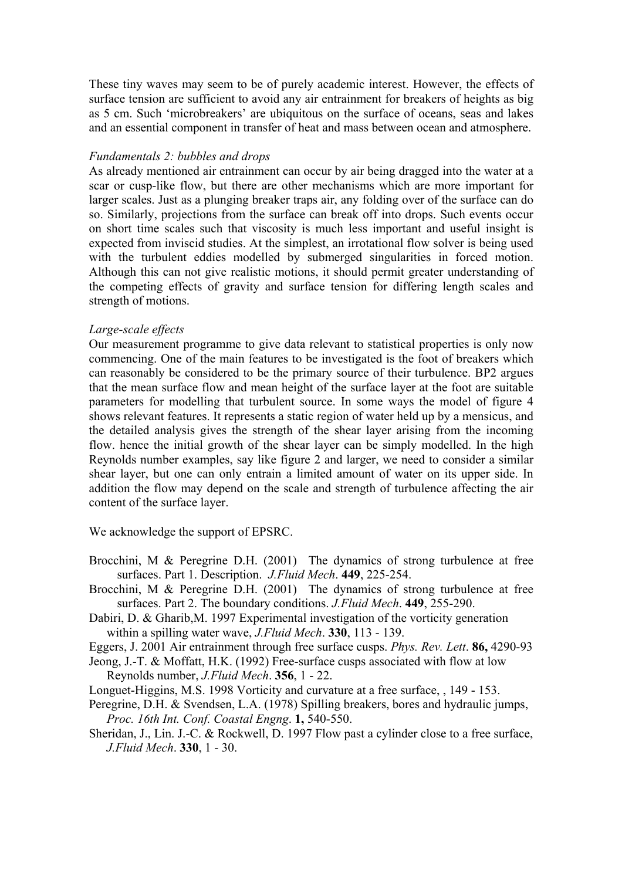These tiny waves may seem to be of purely academic interest. However, the effects of surface tension are sufficient to avoid any air entrainment for breakers of heights as big as 5 cm. Such 'microbreakers' are ubiquitous on the surface of oceans, seas and lakes and an essential component in transfer of heat and mass between ocean and atmosphere.

### *Fundamentals 2: bubbles and drops*

As already mentioned air entrainment can occur by air being dragged into the water at a scar or cusp-like flow, but there are other mechanisms which are more important for larger scales. Just as a plunging breaker traps air, any folding over of the surface can do so. Similarly, projections from the surface can break off into drops. Such events occur on short time scales such that viscosity is much less important and useful insight is expected from inviscid studies. At the simplest, an irrotational flow solver is being used with the turbulent eddies modelled by submerged singularities in forced motion. Although this can not give realistic motions, it should permit greater understanding of the competing effects of gravity and surface tension for differing length scales and strength of motions.

## *Large-scale effects*

Our measurement programme to give data relevant to statistical properties is only now commencing. One of the main features to be investigated is the foot of breakers which can reasonably be considered to be the primary source of their turbulence. BP2 argues that the mean surface flow and mean height of the surface layer at the foot are suitable parameters for modelling that turbulent source. In some ways the model of figure 4 shows relevant features. It represents a static region of water held up by a mensicus, and the detailed analysis gives the strength of the shear layer arising from the incoming flow. hence the initial growth of the shear layer can be simply modelled. In the high Reynolds number examples, say like figure 2 and larger, we need to consider a similar shear layer, but one can only entrain a limited amount of water on its upper side. In addition the flow may depend on the scale and strength of turbulence affecting the air content of the surface layer.

We acknowledge the support of EPSRC.

- Brocchini, M & Peregrine D.H. (2001) The dynamics of strong turbulence at free surfaces. Part 1. Description. *J.Fluid Mech*. **449**, 225-254.
- Brocchini, M & Peregrine D.H. (2001) The dynamics of strong turbulence at free surfaces. Part 2. The boundary conditions. *J.Fluid Mech*. **449**, 255-290.
- Dabiri, D. & Gharib,M. 1997 Experimental investigation of the vorticity generation within a spilling water wave, *J.Fluid Mech*. **330**, 113 - 139.

Eggers, J. 2001 Air entrainment through free surface cusps. *Phys. Rev. Lett*. **86,** 4290-93

- Jeong, J.-T. & Moffatt, H.K. (1992) Free-surface cusps associated with flow at low Reynolds number, *J.Fluid Mech*. **356**, 1 - 22.
- Longuet-Higgins, M.S. 1998 Vorticity and curvature at a free surface, , 149 153.
- Peregrine, D.H. & Svendsen, L.A. (1978) Spilling breakers, bores and hydraulic jumps, *Proc. 16th Int. Conf. Coastal Engng*. **1,** 540-550.
- Sheridan, J., Lin. J.-C. & Rockwell, D. 1997 Flow past a cylinder close to a free surface, *J.Fluid Mech*. **330**, 1 - 30.